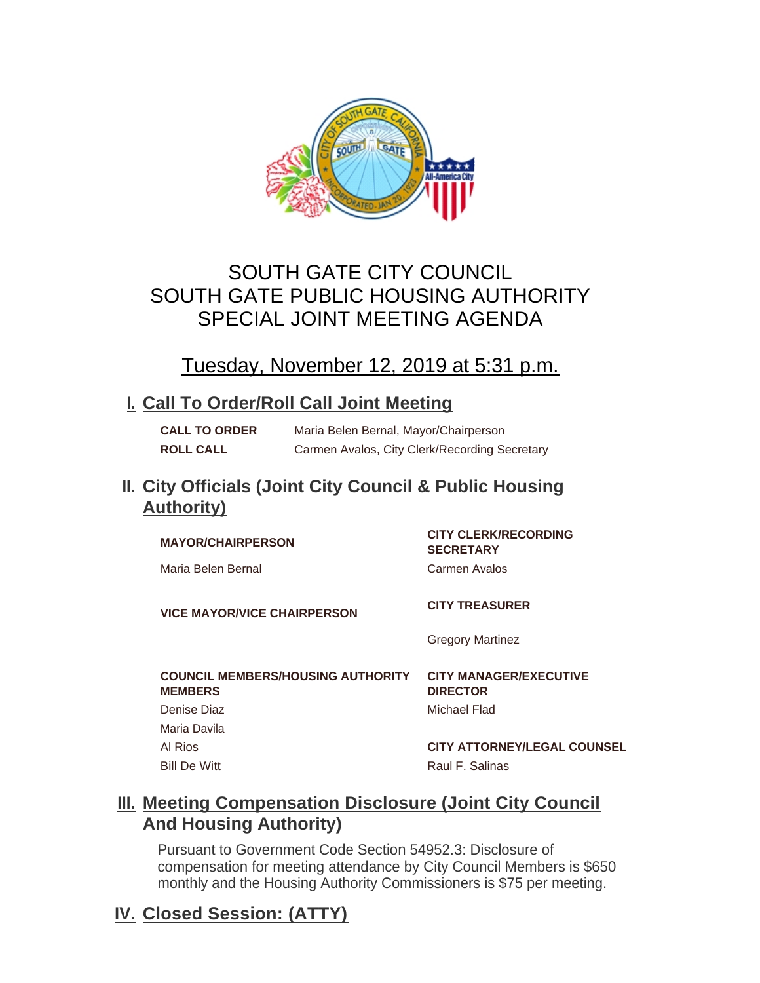

# SOUTH GATE CITY COUNCIL SOUTH GATE PUBLIC HOUSING AUTHORITY SPECIAL JOINT MEETING AGENDA

# Tuesday, November 12, 2019 at 5:31 p.m.

# **Call To Order/Roll Call Joint Meeting I.**

**CALL TO ORDER** Maria Belen Bernal, Mayor/Chairperson **ROLL CALL** Carmen Avalos, City Clerk/Recording Secretary

# **City Officials (Joint City Council & Public Housing II. Authority)**

# **MAYOR/CHAIRPERSON CITY CLERK/RECORDING**

Maria Belen Bernal **Carmen Avalos** 

**SECRETARY**

**VICE MAYOR/VICE CHAIRPERSON CITY TREASURER** 

Gregory Martinez

#### **COUNCIL MEMBERS/HOUSING AUTHORITY MEMBERS** Denise Diaz **Michael Flad** Maria Davila Al Rios **CITY ATTORNEY/LEGAL COUNSEL** Bill De Witt **Raul F. Salinas**

**CITY MANAGER/EXECUTIVE DIRECTOR**

# **Meeting Compensation Disclosure (Joint City Council III. And Housing Authority)**

Pursuant to Government Code Section 54952.3: Disclosure of compensation for meeting attendance by City Council Members is \$650 monthly and the Housing Authority Commissioners is \$75 per meeting.

# **Closed Session: (ATTY) IV.**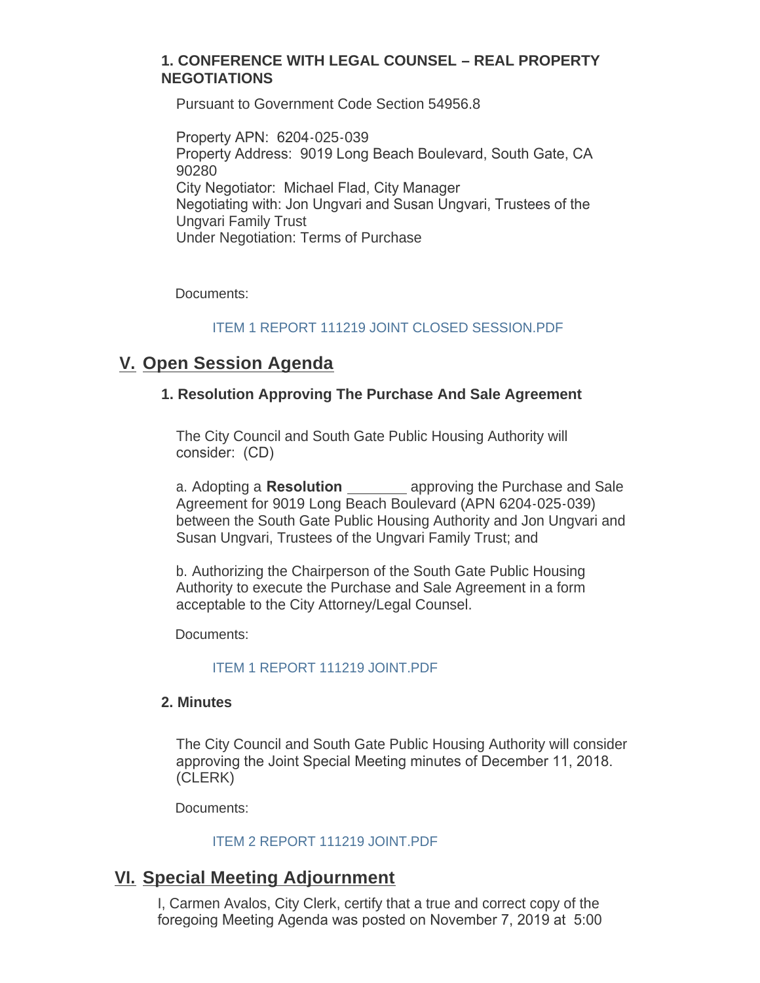#### **1. CONFERENCE WITH LEGAL COUNSEL – REAL PROPERTY NEGOTIATIONS**

Pursuant to Government Code Section 54956.8

Property APN: 6204-025-039 Property Address: 9019 Long Beach Boulevard, South Gate, CA 90280 City Negotiator: Michael Flad, City Manager Negotiating with: Jon Ungvari and Susan Ungvari, Trustees of the Ungvari Family Trust Under Negotiation: Terms of Purchase

Documents:

#### [ITEM 1 REPORT 111219 JOINT CLOSED SESSION.PDF](http://www.cityofsouthgate.org/AgendaCenter/ViewFile/Item/8284?fileID=20279)

# **V.** Open Session Agenda

#### **1. Resolution Approving The Purchase And Sale Agreement**

The City Council and South Gate Public Housing Authority will consider: (CD)

a. Adopting a **Resolution** approving the Purchase and Sale Agreement for 9019 Long Beach Boulevard (APN 6204-025-039) between the South Gate Public Housing Authority and Jon Ungvari and Susan Ungvari, Trustees of the Ungvari Family Trust; and

b. Authorizing the Chairperson of the South Gate Public Housing Authority to execute the Purchase and Sale Agreement in a form acceptable to the City Attorney/Legal Counsel.

Documents:

#### [ITEM 1 REPORT 111219 JOINT.PDF](http://www.cityofsouthgate.org/AgendaCenter/ViewFile/Item/8282?fileID=20268)

#### **2. Minutes**

The City Council and South Gate Public Housing Authority will consider approving the Joint Special Meeting minutes of December 11, 2018. (CLERK)

Documents:

#### [ITEM 2 REPORT 111219 JOINT.PDF](http://www.cityofsouthgate.org/AgendaCenter/ViewFile/Item/8283?fileID=20269)

### **Special Meeting Adjournment VI.**

I, Carmen Avalos, City Clerk, certify that a true and correct copy of the foregoing Meeting Agenda was posted on November 7, 2019 at 5:00